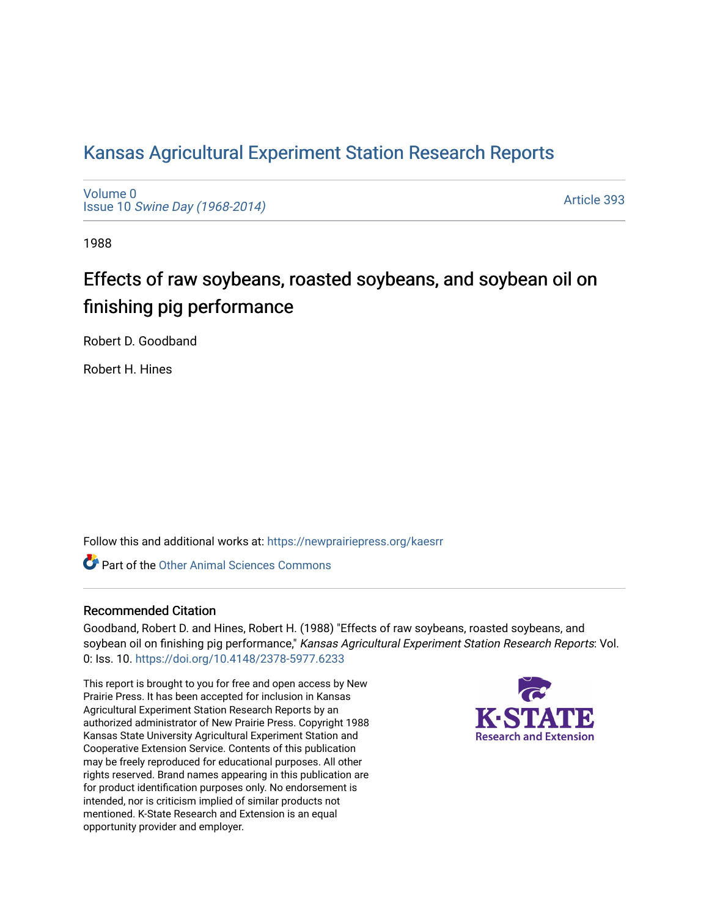# [Kansas Agricultural Experiment Station Research Reports](https://newprairiepress.org/kaesrr)

[Volume 0](https://newprairiepress.org/kaesrr/vol0) Issue 10 [Swine Day \(1968-2014\)](https://newprairiepress.org/kaesrr/vol0/iss10)

[Article 393](https://newprairiepress.org/kaesrr/vol0/iss10/393) 

1988

# Effects of raw soybeans, roasted soybeans, and soybean oil on finishing pig performance

Robert D. Goodband

Robert H. Hines

Follow this and additional works at: [https://newprairiepress.org/kaesrr](https://newprairiepress.org/kaesrr?utm_source=newprairiepress.org%2Fkaesrr%2Fvol0%2Fiss10%2F393&utm_medium=PDF&utm_campaign=PDFCoverPages) 

**C** Part of the [Other Animal Sciences Commons](http://network.bepress.com/hgg/discipline/82?utm_source=newprairiepress.org%2Fkaesrr%2Fvol0%2Fiss10%2F393&utm_medium=PDF&utm_campaign=PDFCoverPages)

## Recommended Citation

Goodband, Robert D. and Hines, Robert H. (1988) "Effects of raw soybeans, roasted soybeans, and soybean oil on finishing pig performance," Kansas Agricultural Experiment Station Research Reports: Vol. 0: Iss. 10. <https://doi.org/10.4148/2378-5977.6233>

This report is brought to you for free and open access by New Prairie Press. It has been accepted for inclusion in Kansas Agricultural Experiment Station Research Reports by an authorized administrator of New Prairie Press. Copyright 1988 Kansas State University Agricultural Experiment Station and Cooperative Extension Service. Contents of this publication may be freely reproduced for educational purposes. All other rights reserved. Brand names appearing in this publication are for product identification purposes only. No endorsement is intended, nor is criticism implied of similar products not mentioned. K-State Research and Extension is an equal opportunity provider and employer.

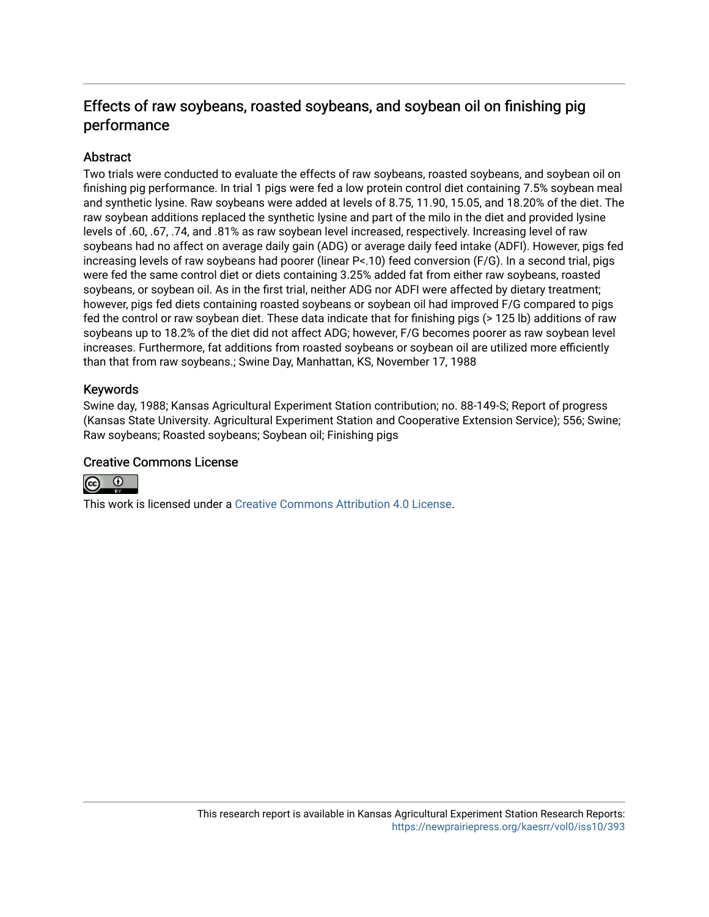## Effects of raw soybeans, roasted soybeans, and soybean oil on finishing pig performance

## **Abstract**

Two trials were conducted to evaluate the effects of raw soybeans, roasted soybeans, and soybean oil on finishing pig performance. In trial 1 pigs were fed a low protein control diet containing 7.5% soybean meal and synthetic lysine. Raw soybeans were added at levels of 8.75, 11.90, 15.05, and 18.20% of the diet. The raw soybean additions replaced the synthetic lysine and part of the milo in the diet and provided lysine levels of .60, .67, .74, and .81% as raw soybean level increased, respectively. Increasing level of raw soybeans had no affect on average daily gain (ADG) or average daily feed intake (ADFI). However, pigs fed increasing levels of raw soybeans had poorer (linear P<.10) feed conversion (F/G). In a second trial, pigs were fed the same control diet or diets containing 3.25% added fat from either raw soybeans, roasted soybeans, or soybean oil. As in the first trial, neither ADG nor ADFI were affected by dietary treatment; however, pigs fed diets containing roasted soybeans or soybean oil had improved F/G compared to pigs fed the control or raw soybean diet. These data indicate that for finishing pigs (> 125 lb) additions of raw soybeans up to 18.2% of the diet did not affect ADG; however, F/G becomes poorer as raw soybean level increases. Furthermore, fat additions from roasted soybeans or soybean oil are utilized more efficiently than that from raw soybeans.; Swine Day, Manhattan, KS, November 17, 1988

## Keywords

Swine day, 1988; Kansas Agricultural Experiment Station contribution; no. 88-149-S; Report of progress (Kansas State University. Agricultural Experiment Station and Cooperative Extension Service); 556; Swine; Raw soybeans; Roasted soybeans; Soybean oil; Finishing pigs

## Creative Commons License



This work is licensed under a [Creative Commons Attribution 4.0 License](https://creativecommons.org/licenses/by/4.0/).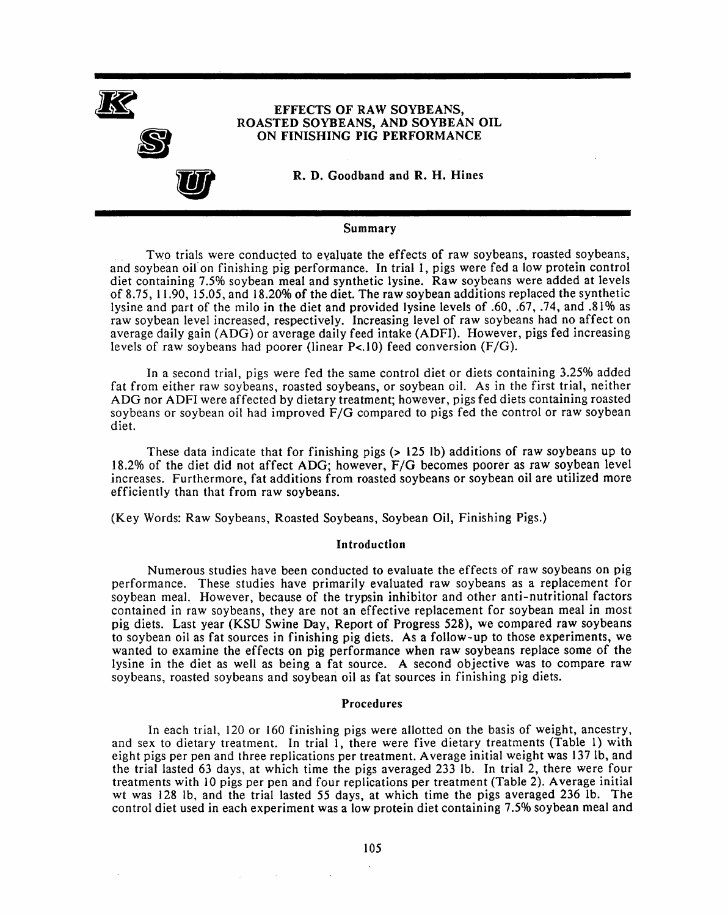

#### Summary

Two trials were conducted to evaluate the effects of raw soybeans, roasted soybeans, and soybean oil on finishing pig performance. In trial 1, pigs were fed a low protein control diet containing 7.5% soybean meal and synthetic lysine. Raw soybeans were added at levels of 8.75, 11.90, 15.05, and 18.20% of the diet. The raw soybean additions replaced the synthetic lysine and part of the milo in the diet and provided lysine levels of .60, .67, .74, and .81% as raw soybean level increased, respectively. Increasing level of raw soybeans had no affect on average daily gain (ADG) or average daily feed intake (ADFI). However, pigs fed increasing levels of raw soybeans had poorer (linear  $P<.10$ ) feed conversion  $(F/G)$ .

In a second trial, pigs were fed the same control diet or diets containing 3.25% added fat from either raw soybeans, roasted soybeans, or soybean oil. As in the first trial, neither ADG nor ADFI were affected by dietary treatment; however, pigs fed diets containing roasted soybeans or soybean oil had improved F/G compared to pigs fed the control or raw soybean diet.

These data indicate that for finishing pigs  $(> 125$  lb) additions of raw soybeans up to 18.2% of the diet did not affect ADG; however, F/G becomes poorer as raw soybean level increases. Furthermore, fat additions from roasted soybeans or soybean oil are utilized more efficiently than that from raw soybeans.

(Key Words: Raw Soybeans, Roasted Soybeans, Soybean Oil, Finishing Pigs.)

#### Introduction

Numerous studies have been conducted to evaluate the effects of raw soybeans on pig performance. These studies have primarily evaluated raw soybeans as a replacement for soybean meal. However, because of the trypsin inhibitor and other anti-nutritional factors contained in raw sovbeans, they are not an effective replacement for soybean meal in most pig diets. Last year (KSU Swine Day, Report of Progress 528), we compared raw soybeans to soybean oil as fat sources in finishing pig diets. As a follow-up to those experiments, we wanted to examine the effects on pig performance when raw soybeans replace some of the lysine in the diet as well as being a fat source. A second objective was to compare raw soybeans, roasted soybeans and soybean oil as fat sources in finishing pig diets.

#### Procedures

In each trial, 120 or 160 finishing pigs were allotted on the basis of weight, ancestry, and sex to dietary treatment. In trial 1, there were five dietary treatments (Table 1) with eight pigs per pen and three replications per treatment. Average initial weight was 137 lb, and the trial lasted 63 days, at which time the pigs averaged 233 lb. In trial 2, there were four treatments with 10 pigs per pen and four replications per treatment (Table 2). Average initial wt was 128 lb, and the trial lasted 55 days, at which time the pigs averaged 236 lb. The control diet used in each experiment was a low protein diet containing 7.5% soybean meal and

 $\mathcal{L}_{\mathcal{L}}$  and  $\mathcal{L}_{\mathcal{L}}$  and  $\mathcal{L}_{\mathcal{L}}$  and  $\mathcal{L}_{\mathcal{L}}$  and  $\mathcal{L}_{\mathcal{L}}$ 

 $\sim$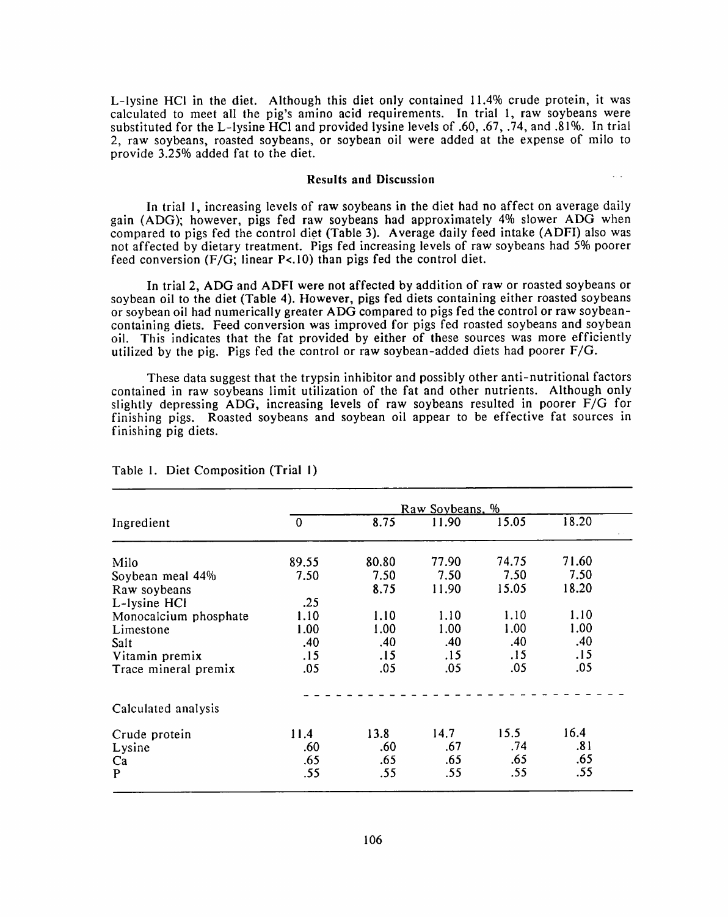L-Ivsine HCl in the diet. Although this diet only contained 11.4% crude protein, it was calculated to meet all the pig's amino acid requirements. In trial 1, raw soybeans were substituted for the L-lysine HCl and provided lysine levels of .60, .67, .74, and .81%. In trial 2, raw soybeans, roasted soybeans, or soybean oil were added at the expense of milo to provide 3.25% added fat to the diet.

#### **Results and Discussion**

In trial 1, increasing levels of raw soybeans in the diet had no affect on average daily gain (ADG): however, pigs fed raw soybeans had approximately 4% slower ADG when compared to pigs fed the control diet (Table 3). Average daily feed intake (ADFI) also was not affected by dietary treatment. Pigs fed increasing levels of raw soybeans had 5% poorer feed conversion (F/G; linear P<.10) than pigs fed the control diet.

In trial 2, ADG and ADFI were not affected by addition of raw or roasted soybeans or soybean oil to the diet (Table 4). However, pigs fed diets containing either roasted soybeans or soybean oil had numerically greater ADG compared to pigs fed the control or raw soybeancontaining diets. Feed conversion was improved for pigs fed roasted soybeans and soybean oil. This indicates that the fat provided by either of these sources was more efficiently utilized by the pig. Pigs fed the control or raw soybean-added diets had poorer  $F/G$ .

These data suggest that the trypsin inhibitor and possibly other anti-nutritional factors contained in raw soybeans limit utilization of the fat and other nutrients. Although only slightly depressing ADG, increasing levels of raw soybeans resulted in poorer F/G for finishing pigs. Roasted soybeans and soybean oil appear to be effective fat sources in finishing pig diets.

|                       | Raw Soybeans, % |       |       |       |       |  |
|-----------------------|-----------------|-------|-------|-------|-------|--|
| Ingredient            | $\mathbf 0$     | 8.75  | 11.90 | 15.05 | 18.20 |  |
| Milo                  | 89.55           | 80.80 | 77.90 | 74.75 | 71.60 |  |
| Soybean meal 44%      | 7.50            | 7.50  | 7.50  | 7.50  | 7.50  |  |
| Raw soybeans          |                 | 8.75  | 11.90 | 15.05 | 18.20 |  |
| L-lysine HCl          | .25             |       |       |       |       |  |
| Monocalcium phosphate | 1.10            | 1.10  | 1.10  | 1.10  | 1.10  |  |
| Limestone             | 1.00            | 1.00  | 1.00  | 1.00  | 1.00  |  |
| Salt                  | .40             | .40   | .40   | .40   | .40   |  |
| Vitamin premix        | .15             | .15   | .15   | .15   | .15   |  |
| Trace mineral premix  | .05             | .05   | .05   | .05   | .05   |  |
| Calculated analysis   |                 |       |       |       |       |  |
| Crude protein         | 11.4            | 13.8  | 14.7  | 15.5  | 16.4  |  |
| Lysine                | .60             | .60   | .67   | .74   | .81   |  |
| Ca                    | .65             | .65   | .65   | .65   | .65   |  |
| P                     | .55             | .55   | .55   | .55   | .55   |  |

Table 1. Diet Composition (Trial 1)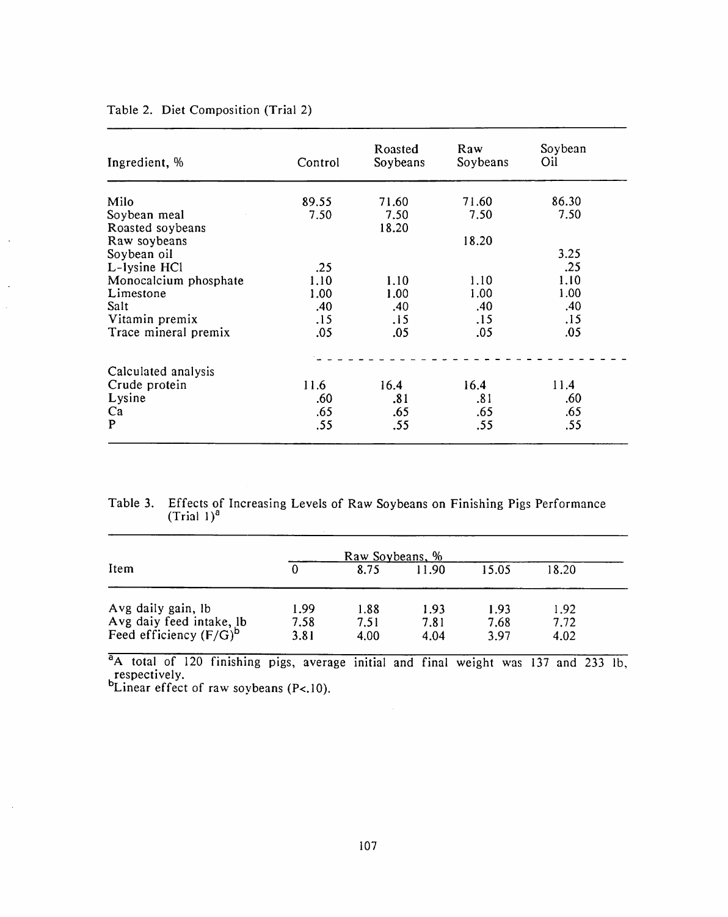| Ingredient, %                      | Control      | <b>Roasted</b><br>Soybeans | Raw<br>Soybeans | Soybean<br>Oil |
|------------------------------------|--------------|----------------------------|-----------------|----------------|
| Milo                               | 89.55        | 71.60                      | 71.60           | 86.30          |
| Soybean meal<br>Roasted soybeans   | 7.50         | 7.50<br>18.20              | 7.50            | 7.50           |
| Raw soybeans                       |              |                            | 18.20           |                |
| Soybean oil                        |              |                            |                 | 3.25           |
| L-lysine HCl                       | .25          |                            |                 | .25            |
| Monocalcium phosphate<br>Limestone | 1.10<br>1.00 | 1.10<br>1.00               | 1.10<br>1.00    | 1.10<br>1.00   |
| Salt                               | .40          | .40                        | .40             | .40            |
| Vitamin premix                     | .15          | .15                        | .15             | .15            |
| Trace mineral premix               | .05          | .05                        | .05             | .05            |
| Calculated analysis                |              |                            |                 |                |
| Crude protein                      | 11.6         | 16.4                       | 16.4            | 11.4           |
| Lysine                             | .60          | .81                        | .81             | .60            |
| Ca                                 | .65          | .65                        | .65             | .65            |
| P                                  | .55          | .55                        | .55             | .55            |

## Table 2. Diet Composition (Trial 2)

Table 3. Effects of Increasing Levels of Raw Soybeans on Finishing Pigs Performance (Trial  $1)^a$ 

|                                                                             | Raw Soybeans, %      |                      |                      |                      |                      |  |
|-----------------------------------------------------------------------------|----------------------|----------------------|----------------------|----------------------|----------------------|--|
| Item                                                                        |                      | 8.75                 | 11.90                | 15.05                | 18.20                |  |
| Avg daily gain, lb<br>Avg daiy feed intake, lb<br>Feed efficiency $(F/G)^b$ | 1.99<br>7.58<br>3.81 | 1.88<br>7.51<br>4.00 | 1.93<br>7.81<br>4.04 | 1.93<br>7.68<br>3.97 | 1.92<br>7.72<br>4.02 |  |

<sup>a</sup>A total of 120 finishing pigs, average initial and final weight was 137 and 233 lb, respectively.<br>  $b$ Linear effect of raw soybeans (P<.10).